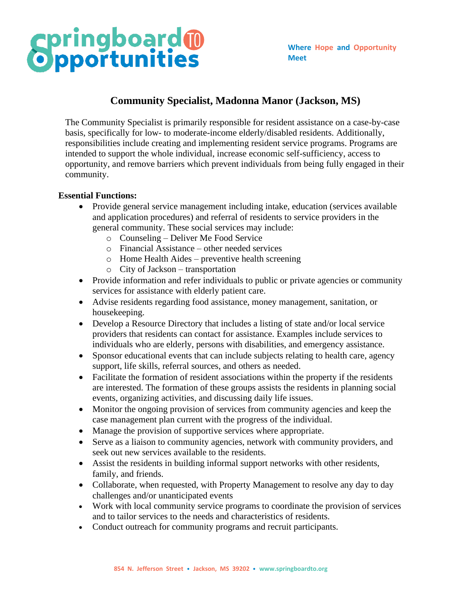## **Springboard®**

### **Community Specialist, Madonna Manor (Jackson, MS)**

The Community Specialist is primarily responsible for resident assistance on a case-by-case basis, specifically for low- to moderate-income elderly/disabled residents. Additionally, responsibilities include creating and implementing resident service programs. Programs are intended to support the whole individual, increase economic self-sufficiency, access to opportunity, and remove barriers which prevent individuals from being fully engaged in their community.

#### **Essential Functions:**

- Provide general service management including intake, education (services available and application procedures) and referral of residents to service providers in the general community. These social services may include:
	- o Counseling Deliver Me Food Service
	- o Financial Assistance other needed services
	- o Home Health Aides preventive health screening
	- o City of Jackson transportation
- Provide information and refer individuals to public or private agencies or community services for assistance with elderly patient care.
- Advise residents regarding food assistance, money management, sanitation, or housekeeping.
- Develop a Resource Directory that includes a listing of state and/or local service providers that residents can contact for assistance. Examples include services to individuals who are elderly, persons with disabilities, and emergency assistance.
- Sponsor educational events that can include subjects relating to health care, agency support, life skills, referral sources, and others as needed.
- Facilitate the formation of resident associations within the property if the residents are interested. The formation of these groups assists the residents in planning social events, organizing activities, and discussing daily life issues.
- Monitor the ongoing provision of services from community agencies and keep the case management plan current with the progress of the individual.
- Manage the provision of supportive services where appropriate.
- Serve as a liaison to community agencies, network with community providers, and seek out new services available to the residents.
- Assist the residents in building informal support networks with other residents, family, and friends.
- Collaborate, when requested, with Property Management to resolve any day to day challenges and/or unanticipated events
- Work with local community service programs to coordinate the provision of services and to tailor services to the needs and characteristics of residents.
- Conduct outreach for community programs and recruit participants.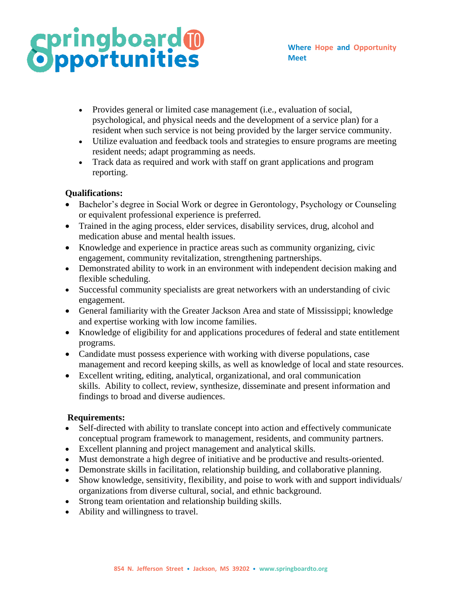# **Springboard<sup>®</sup>**

- Provides general or limited case management (i.e., evaluation of social, psychological, and physical needs and the development of a service plan) for a resident when such service is not being provided by the larger service community.
- Utilize evaluation and feedback tools and strategies to ensure programs are meeting resident needs; adapt programming as needs.
- Track data as required and work with staff on grant applications and program reporting.

### **Qualifications:**

- Bachelor's degree in Social Work or degree in Gerontology, Psychology or Counseling or equivalent professional experience is preferred.
- Trained in the aging process, elder services, disability services, drug, alcohol and medication abuse and mental health issues.
- Knowledge and experience in practice areas such as community organizing, civic engagement, community revitalization, strengthening partnerships.
- Demonstrated ability to work in an environment with independent decision making and flexible scheduling.
- Successful community specialists are great networkers with an understanding of civic engagement.
- General familiarity with the Greater Jackson Area and state of Mississippi; knowledge and expertise working with low income families.
- Knowledge of eligibility for and applications procedures of federal and state entitlement programs.
- Candidate must possess experience with working with diverse populations, case management and record keeping skills, as well as knowledge of local and state resources.
- Excellent writing, editing, analytical, organizational, and oral communication skills. Ability to collect, review, synthesize, disseminate and present information and findings to broad and diverse audiences.

#### **Requirements:**

- Self-directed with ability to translate concept into action and effectively communicate conceptual program framework to management, residents, and community partners.
- Excellent planning and project management and analytical skills.
- Must demonstrate a high degree of initiative and be productive and results-oriented.
- Demonstrate skills in facilitation, relationship building, and collaborative planning.
- Show knowledge, sensitivity, flexibility, and poise to work with and support individuals/ organizations from diverse cultural, social, and ethnic background.
- Strong team orientation and relationship building skills.
- Ability and willingness to travel.